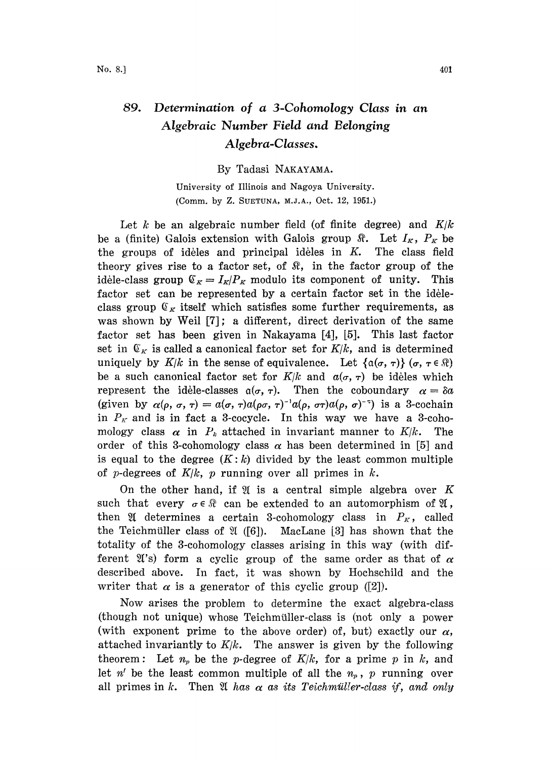## 89. Determination of a 3-Cohomology Class in an Algebraic Number Field and Belonging Algebra-Classes.

By Tadasi NAKAYAMA.

University of Illinois and Nagoya University. (Comm. by Z. SUETUNA, M.J.A., Oct. 12, 1951.)

Let k be an algebraic number field (of finite degree) and  $K/k$ be a (finite) Galois extension with Galois group  $\Re$ . Let  $I_K$ ,  $P_K$  be the groups of ideles and principal ideles in  $K$ . The class field theory gives rise to a factor set, of  $\Re$ , in the factor group of the idele-class group  $\mathfrak{C}_K=I_K/P_K$  modulo its component of unity. This factor set can be represented by a certain factor set in the idèleclass group  $\mathfrak{C}_K$  itself which satisfies some further requirements, as was shown by Weil [7]; a different, direct derivation of the same factor set has been given in Nakayama [4], [5]. This last factor set in  $\mathbb{G}_K$  is called a canonical factor set for  $K/k$ , and is determined uniquely by  $K/k$  in the sense of equivalence. Let  $\{a(\sigma, \tau)\}$  ( $\sigma, \tau \in \Re$ ) be a such canonical factor set for  $K/k$  and  $a(\sigma, \tau)$  be ideles which represent the idele-classes  $a(\sigma, \tau)$ . Then the coboundary  $\alpha = \delta a$ (given by  $\alpha(\rho, \sigma, \tau) = a(\sigma, \tau)a(\rho\sigma, \tau)^{-1}a(\rho, \sigma\tau)a(\rho, \sigma)^{-1}$ ) is a 3-cochain in  $P_K$  and is in fact a 3-cocycle. In this way we have a 3-coho-<br>mology class  $\alpha$  in  $P_k$  attached in invariant manner to  $K/k$ . The mology class  $\alpha$  in  $P_k$  attached in invariant manner to  $K/k$ . order of this 3-cohomology class  $\alpha$  has been determined in [5] and is equal to the degree  $(K: k)$  divided by the least common multiple of p-degrees of  $K/k$ , p running over all primes in k.

On the other hand, if  $\mathfrak A$  is a central simple algebra over K such that every  $\sigma \in \mathbb{R}$  can be extended to an automorphism of  $\mathfrak{A}$ , then  $\mathfrak A$  determines a certain 3-cohomology class in  $P_K$ , called the Teichmüller class of  $\mathfrak A$  ([6]). MacLane [3] has shown that the totality of the 3-cohomology classes arising in this way (with different  $\mathfrak{A}'$ 's) form a cyclic group of the same order as that of  $\alpha$ described above. In fact, it was shown by Hochschild and the writer that  $\alpha$  is a generator of this cyclic group ([2]).

Now arises the problem to determine the exact algebra-class (though not unique) whose Teichmüller-class is (not only a power (with exponent prime to the above order) of, but) exactly our  $\alpha$ , attached invariantly to  $K/k$ . The answer is given by the following theorem: Let  $n_p$  be the p-degree of  $K/k$ , for a prime p in k, and let  $n'$  be the least common multiple of all the  $n_p$ , p running over all primes in k. Then  $\mathfrak A$  has  $\alpha$  as its Teichmüller-class if, and only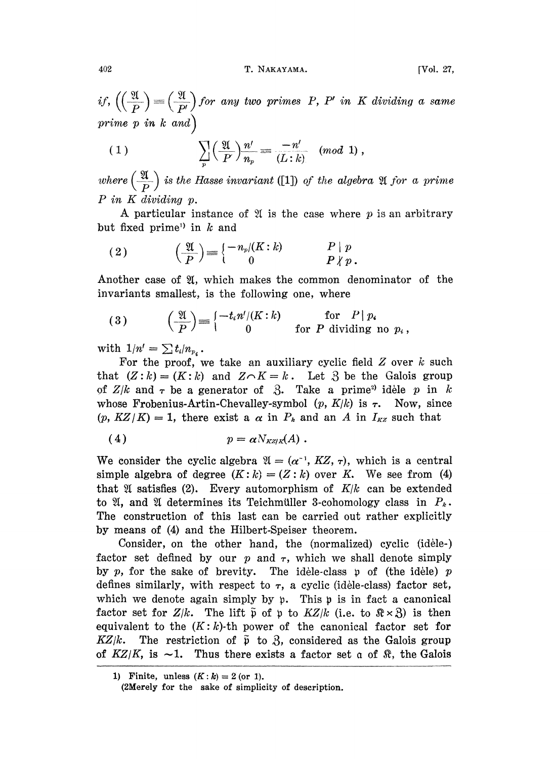if,  $\left(\left(\frac{\mathfrak{A}}{P}\right)\equiv\left(\frac{\mathfrak{A}}{P'}\right)$  for any two primes P, P' in K dividing a same prime  $p$  in  $k$  and

(1) 
$$
\sum_{p} \left(\frac{\mathfrak{A}}{P}\right) \frac{n'}{n_p} \equiv \frac{-n'}{(L:k)} \pmod{1},
$$

where  $\left(\frac{\mathcal{A}}{P}\right)$  is the Hasse invariant ([1]) of the algebra  $\mathfrak A$ P in K dividing p.

A particular instance of  $\mathfrak A$  is the case where p is an arbitrary but fixed prime<sup>1</sup> in  $k$  and

(2) 
$$
\left(\frac{\mathfrak{A}}{P}\right) \equiv \left\{\begin{matrix} -n_p/(K: k) & P \mid p \\ 0 & P \nmid p \end{matrix}\right.
$$

Another case of  $X$ , which makes the common denominator of the invariants smallest, is the following one, where

(3) 
$$
\left(\frac{\mathfrak{A}}{P}\right) = \begin{cases} -t_i n' / (K : k) & \text{for } P \mid p_i \\ 0 & \text{for } P \text{ dividing no } p_i, \end{cases}
$$

with  $1/n' = \sum t_i/n_{p_\lambda}$ .

For the proof, we take an auxiliary cyclic field  $Z$  over  $k$  such that  $(Z:k)=(K:k)$  and  $Z\cap K=k$ . Let  $\beta$  be the Galois group of  $Z/k$  and  $\tau$  be a generator of 3. Take a prime<sup>2</sup> idèle p in k whose Frobenius-Artin-Chevalley-symbol  $(p, K/k)$  is  $\tau$ . Now, since  $(p, KZ/K) = 1$ , there exist a  $\alpha$  in  $P_k$  and an A in  $I_{KZ}$  such that

$$
(4) \t\t\t p = \alpha N_{KZ/K}(A) .
$$

We consider the cyclic algebra  $\mathfrak{A} = (\alpha^{-1}, KZ, \tau)$ , which is a central simple algebra of degree  $(K : k) = (Z : k)$  over K. We see from (4) that  $\mathfrak A$  satisfies (2). Every automorphism of  $K/k$  can be extended to  $\mathfrak{A}$ , and  $\mathfrak A$  determines its Teichmüller 3-cohomology class in  $P_k$ . The construction of this last can be carried out rather explicitly by means of (4) and the Hilbert-Speiser theorem.

Consider, on the other hand, the (normalized) cyclic (idele-) factor set defined by our  $p$  and  $\tau$ , which we shall denote simply by p, for the sake of brevity. The idele-class p of (the idele)  $p$ defines similarly, with respect to  $\tau$ , a cyclic (idele-class) factor set, which we denote again simply by  $\mathfrak p$ . This  $\mathfrak p$  is in fact a canonical factor set for  $Z/k$ . The lift  $\tilde{p}$  of p to  $KZ/k$  (i.e. to  $\Re \times 3$ ) is then equivalent to the  $(K: k)$ -th power of the canonical factor set for  $KZ/k$ . The restriction of  $\tilde{p}$  to  $\tilde{\beta}$ , considered as the Galois group of KZ/K, is  $\sim$ 1. Thus there exists a factor set a of  $\Re$ , the Galois

<sup>1)</sup> Finite, unless  $(K : k) = 2$  (or 1).

<sup>(2</sup>Merely for the sake of simplicity of description.